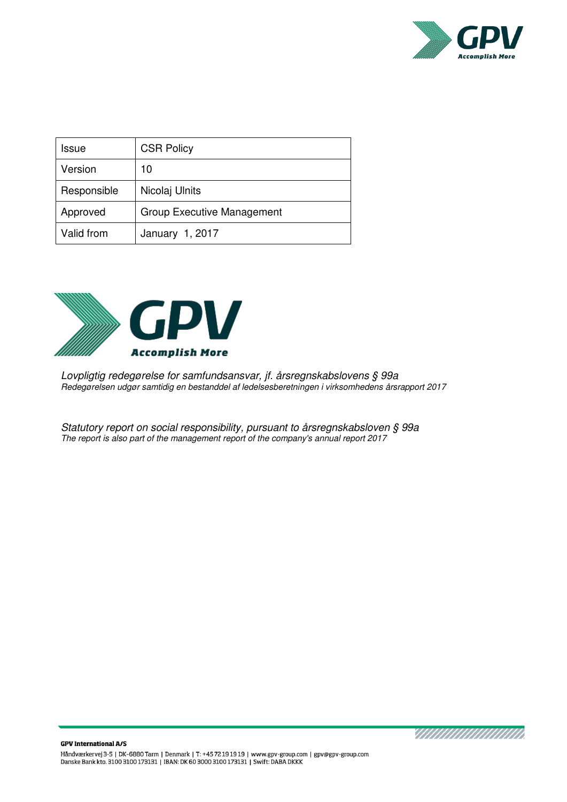

| Issue       | <b>CSR Policy</b>                 |
|-------------|-----------------------------------|
| Version     | 10                                |
| Responsible | Nicolaj Ulnits                    |
| Approved    | <b>Group Executive Management</b> |
| Valid from  | January 1, 2017                   |



*Lovpligtig redegørelse for samfundsansvar, jf. årsregnskabslovens § 99a Redegørelsen udgør samtidig en bestanddel af ledelsesberetningen i virksomhedens årsrapport 2017* 

*Statutory report on social responsibility, pursuant to årsregnskabsloven § 99a The report is also part of the management report of the company's annual report 2017* 

<u>VIIIIIIIIIIIIIIIIIII</u>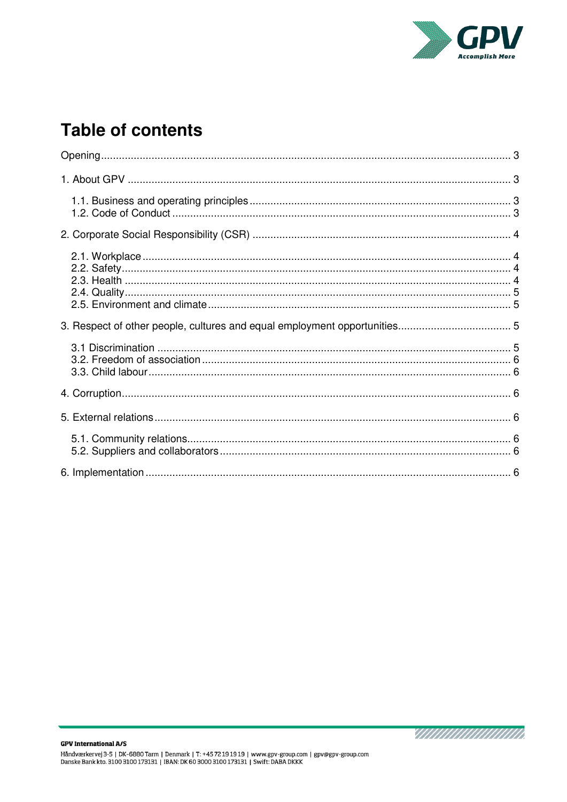

# **Table of contents**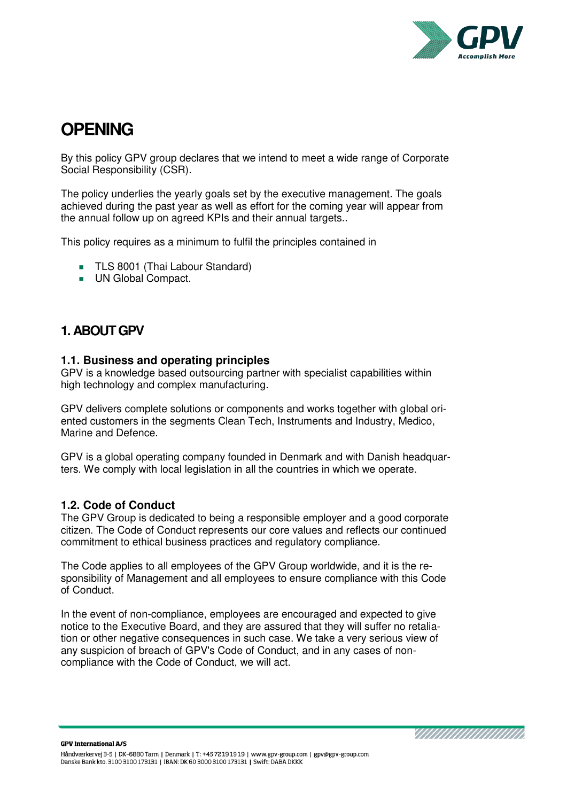

# <span id="page-2-0"></span>**OPENING**

By this policy GPV group declares that we intend to meet a wide range of Corporate Social Responsibility (CSR).

The policy underlies the yearly goals set by the executive management. The goals achieved during the past year as well as effort for the coming year will appear from the annual follow up on agreed KPIs and their annual targets..

This policy requires as a minimum to fulfil the principles contained in

- **TLS 8001 (Thai Labour Standard)**
- UN Global Compact.

# <span id="page-2-1"></span>**1. ABOUT GPV**

# <span id="page-2-2"></span>**1.1. Business and operating principles**

GPV is a knowledge based outsourcing partner with specialist capabilities within high technology and complex manufacturing.

GPV delivers complete solutions or components and works together with global oriented customers in the segments Clean Tech, Instruments and Industry, Medico, Marine and Defence.

GPV is a global operating company founded in Denmark and with Danish headquarters. We comply with local legislation in all the countries in which we operate.

# <span id="page-2-3"></span>**1.2. Code of Conduct**

The GPV Group is dedicated to being a responsible employer and a good corporate citizen. The Code of Conduct represents our core values and reflects our continued commitment to ethical business practices and regulatory compliance.

The Code applies to all employees of the GPV Group worldwide, and it is the responsibility of Management and all employees to ensure compliance with this Code of Conduct.

In the event of non-compliance, employees are encouraged and expected to give notice to the Executive Board, and they are assured that they will suffer no retaliation or other negative consequences in such case. We take a very serious view of any suspicion of breach of GPV's Code of Conduct, and in any cases of noncompliance with the Code of Conduct, we will act.

**GPV International A/S** 

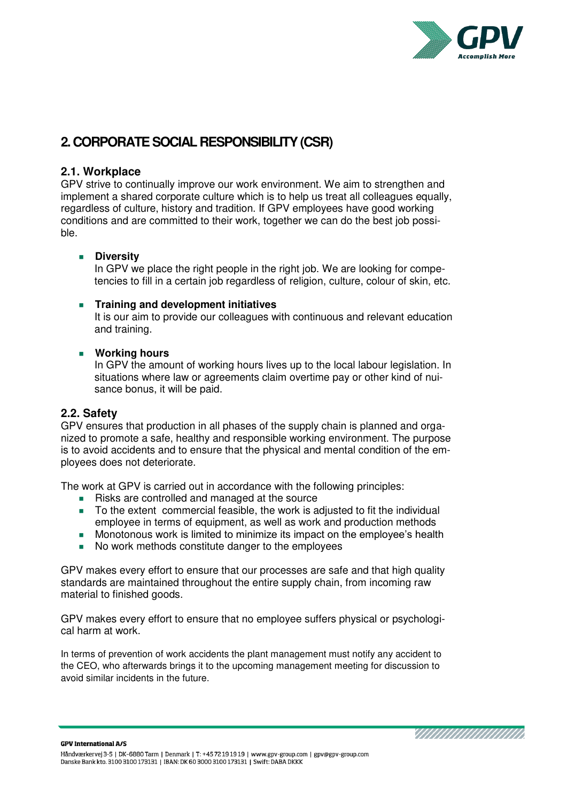![](_page_3_Picture_0.jpeg)

# <span id="page-3-0"></span>**2. CORPORATE SOCIAL RESPONSIBILITY (CSR)**

### <span id="page-3-1"></span>**2.1. Workplace**

GPV strive to continually improve our work environment. We aim to strengthen and implement a shared corporate culture which is to help us treat all colleagues equally, regardless of culture, history and tradition. If GPV employees have good working conditions and are committed to their work, together we can do the best job possible.

#### **Diversity**

In GPV we place the right people in the right job. We are looking for competencies to fill in a certain job regardless of religion, culture, colour of skin, etc.

#### **Training and development initiatives**

It is our aim to provide our colleagues with continuous and relevant education and training.

#### **Working hours**

In GPV the amount of working hours lives up to the local labour legislation. In situations where law or agreements claim overtime pay or other kind of nuisance bonus, it will be paid.

#### <span id="page-3-2"></span>**2.2. Safety**

GPV ensures that production in all phases of the supply chain is planned and organized to promote a safe, healthy and responsible working environment. The purpose is to avoid accidents and to ensure that the physical and mental condition of the employees does not deteriorate.

The work at GPV is carried out in accordance with the following principles:

- Risks are controlled and managed at the source
- To the extent commercial feasible, the work is adjusted to fit the individual employee in terms of equipment, as well as work and production methods
- **Monotonous work is limited to minimize its impact on the employee's health**
- No work methods constitute danger to the employees

GPV makes every effort to ensure that our processes are safe and that high quality standards are maintained throughout the entire supply chain, from incoming raw material to finished goods.

GPV makes every effort to ensure that no employee suffers physical or psychological harm at work.

<span id="page-3-3"></span>In terms of prevention of work accidents the plant management must notify any accident to the CEO, who afterwards brings it to the upcoming management meeting for discussion to avoid similar incidents in the future.

**GPV International A/S** 

![](_page_3_Picture_21.jpeg)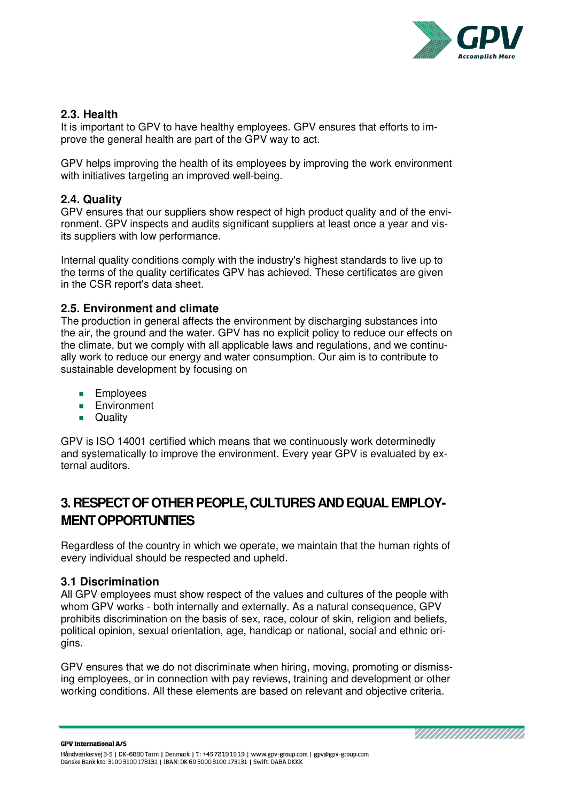![](_page_4_Picture_0.jpeg)

YN AN AN AN AN AN A

# **2.3. Health**

It is important to GPV to have healthy employees. GPV ensures that efforts to improve the general health are part of the GPV way to act.

GPV helps improving the health of its employees by improving the work environment with initiatives targeting an improved well-being.

### <span id="page-4-0"></span>**2.4. Quality**

GPV ensures that our suppliers show respect of high product quality and of the environment. GPV inspects and audits significant suppliers at least once a year and visits suppliers with low performance.

Internal quality conditions comply with the industry's highest standards to live up to the terms of the quality certificates GPV has achieved. These certificates are given in the CSR report's data sheet.

### <span id="page-4-1"></span>**2.5. Environment and climate**

The production in general affects the environment by discharging substances into the air, the ground and the water. GPV has no explicit policy to reduce our effects on the climate, but we comply with all applicable laws and regulations, and we continually work to reduce our energy and water consumption. Our aim is to contribute to sustainable development by focusing on

- **Employees**
- **Environment**
- **D** Quality

GPV is ISO 14001 certified which means that we continuously work determinedly and systematically to improve the environment. Every year GPV is evaluated by external auditors.

# <span id="page-4-2"></span>**3. RESPECT OF OTHER PEOPLE, CULTURES AND EQUAL EMPLOY-MENT OPPORTUNITIES**

Regardless of the country in which we operate, we maintain that the human rights of every individual should be respected and upheld.

#### <span id="page-4-3"></span>**3.1 Discrimination**

All GPV employees must show respect of the values and cultures of the people with whom GPV works - both internally and externally. As a natural consequence, GPV prohibits discrimination on the basis of sex, race, colour of skin, religion and beliefs, political opinion, sexual orientation, age, handicap or national, social and ethnic origins.

GPV ensures that we do not discriminate when hiring, moving, promoting or dismissing employees, or in connection with pay reviews, training and development or other working conditions. All these elements are based on relevant and objective criteria.

**GPV International A/S** Håndværkervej 3-5 | DK-6880 Tarm | Denmark | T: +45 72 19 19 19 | www.gpv-group.com | gpv@gpv-group.com Danske Bank kto. 3100 3100 173131 | IBAN: DK 60 3000 3100 173131 | Swift: DABA DKKK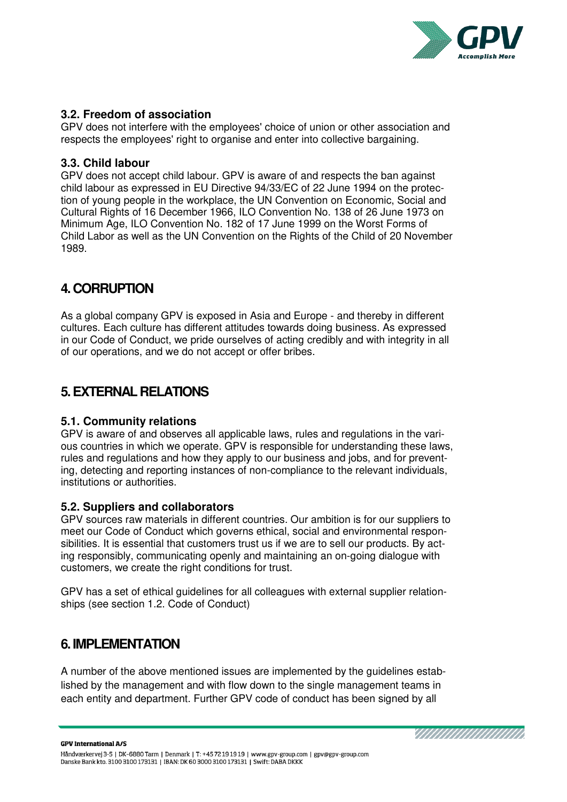![](_page_5_Picture_0.jpeg)

# <span id="page-5-0"></span>**3.2. Freedom of association**

GPV does not interfere with the employees' choice of union or other association and respects the employees' right to organise and enter into collective bargaining.

### <span id="page-5-1"></span>**3.3. Child labour**

GPV does not accept child labour. GPV is aware of and respects the ban against child labour as expressed in EU Directive 94/33/EC of 22 June 1994 on the protection of young people in the workplace, the UN Convention on Economic, Social and Cultural Rights of 16 December 1966, ILO Convention No. 138 of 26 June 1973 on Minimum Age, ILO Convention No. 182 of 17 June 1999 on the Worst Forms of Child Labor as well as the UN Convention on the Rights of the Child of 20 November 1989.

# <span id="page-5-2"></span>**4. CORRUPTION**

As a global company GPV is exposed in Asia and Europe - and thereby in different cultures. Each culture has different attitudes towards doing business. As expressed in our Code of Conduct, we pride ourselves of acting credibly and with integrity in all of our operations, and we do not accept or offer bribes.

# <span id="page-5-3"></span>**5. EXTERNAL RELATIONS**

# <span id="page-5-4"></span>**5.1. Community relations**

GPV is aware of and observes all applicable laws, rules and regulations in the various countries in which we operate. GPV is responsible for understanding these laws, rules and regulations and how they apply to our business and jobs, and for preventing, detecting and reporting instances of non-compliance to the relevant individuals, institutions or authorities.

#### <span id="page-5-5"></span>**5.2. Suppliers and collaborators**

GPV sources raw materials in different countries. Our ambition is for our suppliers to meet our Code of Conduct which governs ethical, social and environmental responsibilities. It is essential that customers trust us if we are to sell our products. By acting responsibly, communicating openly and maintaining an on-going dialogue with customers, we create the right conditions for trust.

<span id="page-5-6"></span>GPV has a set of ethical guidelines for all colleagues with external supplier relationships (see section 1.2. Code of Conduct)

# **6. IMPLEMENTATION**

A number of the above mentioned issues are implemented by the guidelines established by the management and with flow down to the single management teams in each entity and department. Further GPV code of conduct has been signed by all

**GPV International A/S** 

![](_page_5_Picture_16.jpeg)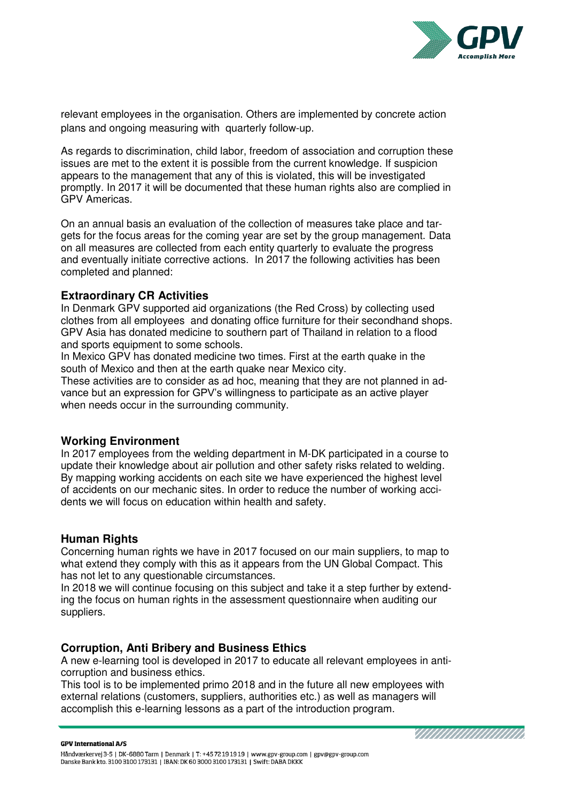![](_page_6_Picture_0.jpeg)

relevant employees in the organisation. Others are implemented by concrete action plans and ongoing measuring with quarterly follow-up.

As regards to discrimination, child labor, freedom of association and corruption these issues are met to the extent it is possible from the current knowledge. If suspicion appears to the management that any of this is violated, this will be investigated promptly. In 2017 it will be documented that these human rights also are complied in GPV Americas.

On an annual basis an evaluation of the collection of measures take place and targets for the focus areas for the coming year are set by the group management. Data on all measures are collected from each entity quarterly to evaluate the progress and eventually initiate corrective actions. In 2017 the following activities has been completed and planned:

### **Extraordinary CR Activities**

In Denmark GPV supported aid organizations (the Red Cross) by collecting used clothes from all employees and donating office furniture for their secondhand shops. GPV Asia has donated medicine to southern part of Thailand in relation to a flood and sports equipment to some schools.

In Mexico GPV has donated medicine two times. First at the earth quake in the south of Mexico and then at the earth quake near Mexico city.

These activities are to consider as ad hoc, meaning that they are not planned in advance but an expression for GPV's willingness to participate as an active player when needs occur in the surrounding community.

# **Working Environment**

In 2017 employees from the welding department in M-DK participated in a course to update their knowledge about air pollution and other safety risks related to welding. By mapping working accidents on each site we have experienced the highest level of accidents on our mechanic sites. In order to reduce the number of working accidents we will focus on education within health and safety.

# **Human Rights**

Concerning human rights we have in 2017 focused on our main suppliers, to map to what extend they comply with this as it appears from the UN Global Compact. This has not let to any questionable circumstances.

In 2018 we will continue focusing on this subject and take it a step further by extending the focus on human rights in the assessment questionnaire when auditing our suppliers.

# **Corruption, Anti Bribery and Business Ethics**

A new e-learning tool is developed in 2017 to educate all relevant employees in anticorruption and business ethics.

This tool is to be implemented primo 2018 and in the future all new employees with external relations (customers, suppliers, authorities etc.) as well as managers will accomplish this e-learning lessons as a part of the introduction program.

YN AN AN AN AN AN A